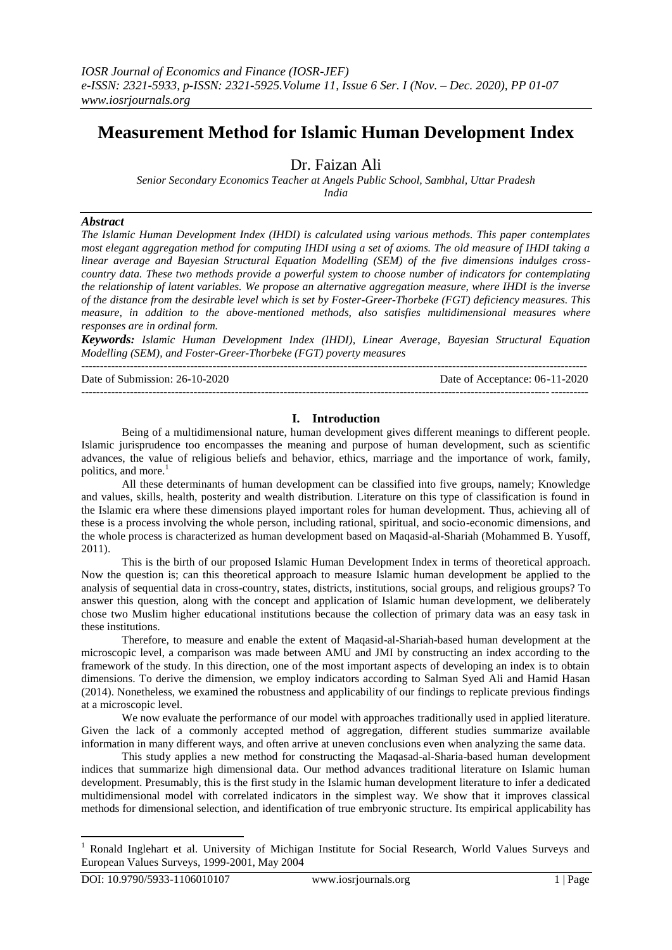# **Measurement Method for Islamic Human Development Index**

Dr. Faizan Ali

*Senior Secondary Economics Teacher at Angels Public School, Sambhal, Uttar Pradesh India*

#### *Abstract*

*The Islamic Human Development Index (IHDI) is calculated using various methods. This paper contemplates most elegant aggregation method for computing IHDI using a set of axioms. The old measure of IHDI taking a linear average and Bayesian Structural Equation Modelling (SEM) of the five dimensions indulges crosscountry data. These two methods provide a powerful system to choose number of indicators for contemplating the relationship of latent variables. We propose an alternative aggregation measure, where IHDI is the inverse of the distance from the desirable level which is set by Foster-Greer-Thorbeke (FGT) deficiency measures. This measure, in addition to the above-mentioned methods, also satisfies multidimensional measures where responses are in ordinal form.*

*Keywords: Islamic Human Development Index (IHDI), Linear Average, Bayesian Structural Equation Modelling (SEM), and Foster-Greer-Thorbeke (FGT) poverty measures*

--------------------------------------------------------------------------------------------------------------------------------------- Date of Submission: 26-10-2020 Date of Acceptance: 06-11-2020

---------------------------------------------------------------------------------------------------------------------------------------

### **I. Introduction**

Being of a multidimensional nature, human development gives different meanings to different people. Islamic jurisprudence too encompasses the meaning and purpose of human development, such as scientific advances, the value of religious beliefs and behavior, ethics, marriage and the importance of work, family, politics, and more. $<sup>1</sup>$ </sup>

All these determinants of human development can be classified into five groups, namely; Knowledge and values, skills, health, posterity and wealth distribution. Literature on this type of classification is found in the Islamic era where these dimensions played important roles for human development. Thus, achieving all of these is a process involving the whole person, including rational, spiritual, and socio-economic dimensions, and the whole process is characterized as human development based on Maqasid-al-Shariah (Mohammed B. Yusoff, 2011).

This is the birth of our proposed Islamic Human Development Index in terms of theoretical approach. Now the question is; can this theoretical approach to measure Islamic human development be applied to the analysis of sequential data in cross-country, states, districts, institutions, social groups, and religious groups? To answer this question, along with the concept and application of Islamic human development, we deliberately chose two Muslim higher educational institutions because the collection of primary data was an easy task in these institutions.

Therefore, to measure and enable the extent of Maqasid-al-Shariah-based human development at the microscopic level, a comparison was made between AMU and JMI by constructing an index according to the framework of the study. In this direction, one of the most important aspects of developing an index is to obtain dimensions. To derive the dimension, we employ indicators according to Salman Syed Ali and Hamid Hasan (2014). Nonetheless, we examined the robustness and applicability of our findings to replicate previous findings at a microscopic level.

We now evaluate the performance of our model with approaches traditionally used in applied literature. Given the lack of a commonly accepted method of aggregation, different studies summarize available information in many different ways, and often arrive at uneven conclusions even when analyzing the same data.

This study applies a new method for constructing the Maqasad-al-Sharia-based human development indices that summarize high dimensional data. Our method advances traditional literature on Islamic human development. Presumably, this is the first study in the Islamic human development literature to infer a dedicated multidimensional model with correlated indicators in the simplest way. We show that it improves classical methods for dimensional selection, and identification of true embryonic structure. Its empirical applicability has

<sup>&</sup>lt;sup>1</sup> Ronald Inglehart et al. University of Michigan Institute for Social Research, World Values Surveys and European Values Surveys, 1999-2001, May 2004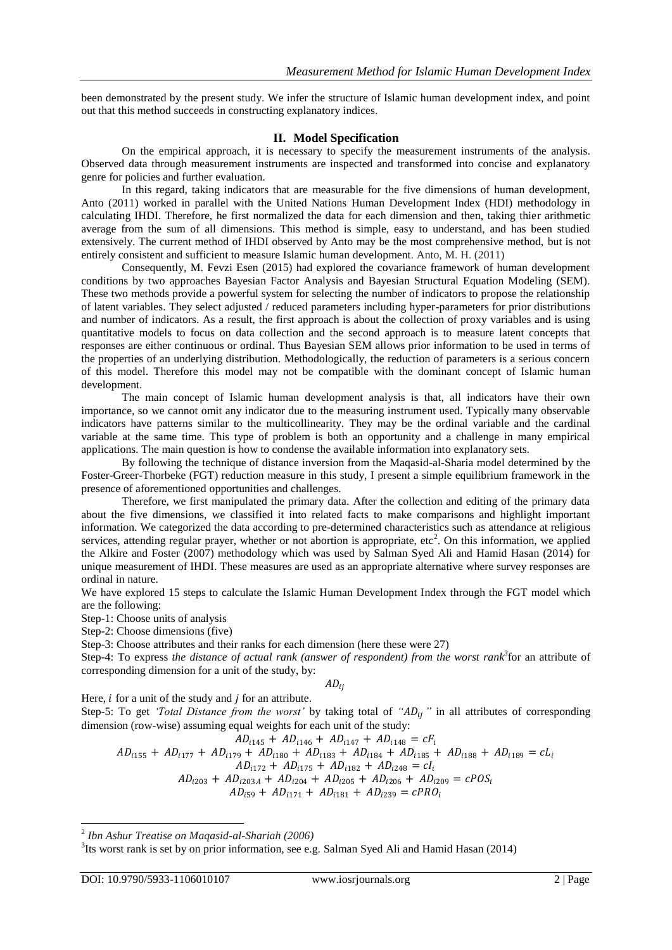been demonstrated by the present study. We infer the structure of Islamic human development index, and point out that this method succeeds in constructing explanatory indices.

#### **II. Model Specification**

On the empirical approach, it is necessary to specify the measurement instruments of the analysis. Observed data through measurement instruments are inspected and transformed into concise and explanatory genre for policies and further evaluation.

In this regard, taking indicators that are measurable for the five dimensions of human development, Anto (2011) worked in parallel with the United Nations Human Development Index (HDI) methodology in calculating IHDI. Therefore, he first normalized the data for each dimension and then, taking thier arithmetic average from the sum of all dimensions. This method is simple, easy to understand, and has been studied extensively. The current method of IHDI observed by Anto may be the most comprehensive method, but is not entirely consistent and sufficient to measure Islamic human development. Anto, M. H. (2011)

Consequently, M. Fevzi Esen (2015) had explored the covariance framework of human development conditions by two approaches Bayesian Factor Analysis and Bayesian Structural Equation Modeling (SEM). These two methods provide a powerful system for selecting the number of indicators to propose the relationship of latent variables. They select adjusted / reduced parameters including hyper-parameters for prior distributions and number of indicators. As a result, the first approach is about the collection of proxy variables and is using quantitative models to focus on data collection and the second approach is to measure latent concepts that responses are either continuous or ordinal. Thus Bayesian SEM allows prior information to be used in terms of the properties of an underlying distribution. Methodologically, the reduction of parameters is a serious concern of this model. Therefore this model may not be compatible with the dominant concept of Islamic human development.

The main concept of Islamic human development analysis is that, all indicators have their own importance, so we cannot omit any indicator due to the measuring instrument used. Typically many observable indicators have patterns similar to the multicollinearity. They may be the ordinal variable and the cardinal variable at the same time. This type of problem is both an opportunity and a challenge in many empirical applications. The main question is how to condense the available information into explanatory sets.

By following the technique of distance inversion from the Maqasid-al-Sharia model determined by the Foster-Greer-Thorbeke (FGT) reduction measure in this study, I present a simple equilibrium framework in the presence of aforementioned opportunities and challenges.

Therefore, we first manipulated the primary data. After the collection and editing of the primary data about the five dimensions, we classified it into related facts to make comparisons and highlight important information. We categorized the data according to pre-determined characteristics such as attendance at religious services, attending regular prayer, whether or not abortion is appropriate,  $etc<sup>2</sup>$ . On this information, we applied the Alkire and Foster (2007) methodology which was used by Salman Syed Ali and Hamid Hasan (2014) for unique measurement of IHDI. These measures are used as an appropriate alternative where survey responses are ordinal in nature.

We have explored 15 steps to calculate the Islamic Human Development Index through the FGT model which are the following:

Step-1: Choose units of analysis

Step-2: Choose dimensions (five)

Step-3: Choose attributes and their ranks for each dimension (here these were 27)

Step-4: To express *the distance of actual rank (answer of respondent) from the worst rank<sup>3</sup>* for an attribute of corresponding dimension for a unit of the study, by:

 $AD_{ii}$ 

Here,  $i$  for a unit of the study and  $j$  for an attribute.

Step-5: To get *'Total Distance from the worst'* by taking total of *"AD<sub>ii</sub>"* in all attributes of corresponding dimension (row-wise) assuming equal weights for each unit of the study:

$$
AD_{i145} + AD_{i146} + AD_{i147} + AD_{i148} = cF_i
$$
  
\n
$$
AD_{i155} + AD_{i177} + AD_{i179} + AD_{i180} + AD_{i183} + AD_{i184} + AD_{i185} + AD_{i188} + AD_{i189} = cL_i
$$
  
\n
$$
AD_{i172} + AD_{i175} + AD_{i182} + AD_{i248} = cI_i
$$
  
\n
$$
AD_{i203} + AD_{i203A} + AD_{i204} + AD_{i205} + AD_{i206} + AD_{i209} = cPOS_i
$$
  
\n
$$
AD_{i59} + AD_{i171} + AD_{i181} + AD_{i239} = cPRO_i
$$

<sup>2</sup> *Ibn Ashur Treatise on Maqasid-al-Shariah (2006)*

<sup>&</sup>lt;sup>3</sup>Its worst rank is set by on prior information, see e.g. Salman Syed Ali and Hamid Hasan (2014)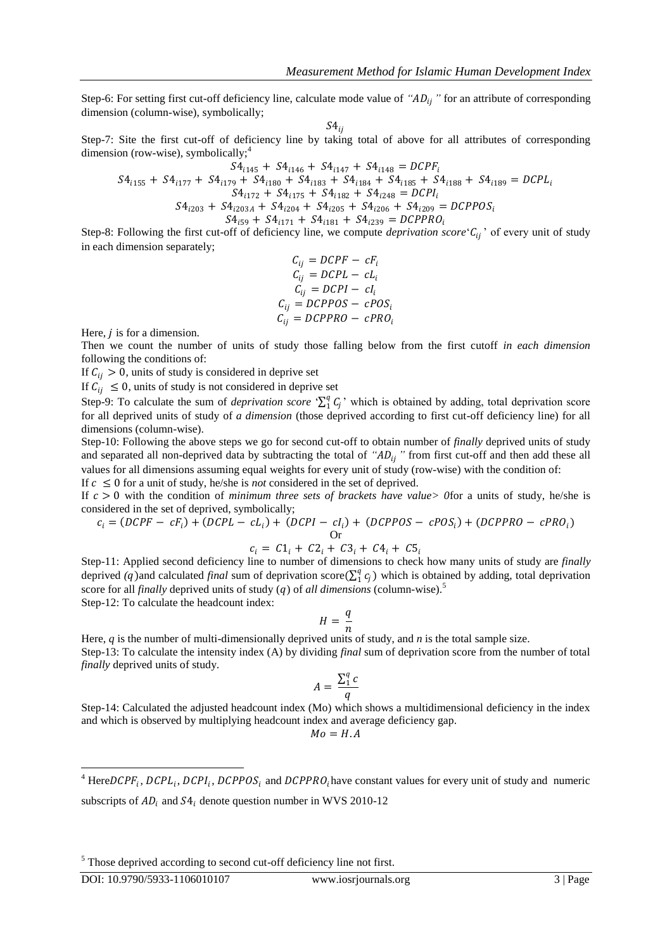Step-6: For setting first cut-off deficiency line, calculate mode value of "AD<sub>ii</sub>" for an attribute of corresponding dimension (column-wise), symbolically;

 $S4_{ij}$ 

Step-7: Site the first cut-off of deficiency line by taking total of above for all attributes of corresponding dimension (row-wise), symbolically;<sup>4</sup>

$$
S4_{i145} + S4_{i146} + S4_{i147} + S4_{i148} = DCPF_i
$$
  
\n
$$
S4_{i155} + S4_{i177} + S4_{i179} + S4_{i180} + S4_{i183} + S4_{i184} + S4_{i185} + S4_{i188} + S4_{i189} = DCPL_i
$$
  
\n
$$
S4_{i172} + S4_{i175} + S4_{i182} + S4_{i248} = DCPI_i
$$
  
\n
$$
S4_{i203} + S4_{i203A} + S4_{i204} + S4_{i205} + S4_{i206} + S4_{i209} = DCPPOS_i
$$
  
\n
$$
S4_{i59} + S4_{i171} + S4_{i181} + S4_{i239} = DCPPRO_i
$$

Step-8: Following the first cut-off of deficiency line, we compute *deprivation score*  $C_{ij}$  of every unit of study in each dimension separately;

$$
C_{ij} = DCPF - cF_i
$$
  
\n
$$
C_{ij} = DCPL - cL_i
$$
  
\n
$$
C_{ij} = DCPI - cI_i
$$
  
\n
$$
C_{ij} = DCPPOS - cPOS_i
$$
  
\n
$$
C_{ij} = DCPPRO - cPRO_i
$$

Here,  *is for a dimension.* 

Then we count the number of units of study those falling below from the first cutoff *in each dimension*  following the conditions of:

If  $C_{ij} > 0$ , units of study is considered in deprive set

If  $C_{ij} \leq 0$ , units of study is not considered in deprive set

Step-9: To calculate the sum of *deprivation score*  $\sum_{i=1}^{q} C_i$  which is obtained by adding, total deprivation score for all deprived units of study of *a dimension* (those deprived according to first cut-off deficiency line) for all dimensions (column-wise).

Step-10: Following the above steps we go for second cut-off to obtain number of *finally* deprived units of study and separated all non-deprived data by subtracting the total of "*AD<sub>ij</sub>*" from first cut-off and then add these all values for all dimensions assuming equal weights for every unit of study (row-wise) with the condition of:

If  $c \leq 0$  for a unit of study, he/she is *not* considered in the set of deprived.

If  $c > 0$  with the condition of *minimum three sets of brackets have value* of or a units of study, he/she is considered in the set of deprived, symbolically;

$$
c_i = (DCPF - cF_i) + (DCPL - cL_i) + (DCPI - cI_i) + (DCPPOS - cPOS_i) + (DCPPRO - cPRO_i)
$$
  
Or

$$
c_i = C1_i + C2_i + C3_i + C4_i + C5_i
$$

Step-11: Applied second deficiency line to number of dimensions to check how many units of study are *finally* deprived (q)and calculated *final* sum of deprivation score( $\sum_1^q c_j$ ) which is obtained by adding, total deprivation score for all *finally* deprived units of study (q) of *all dimensions* (column-wise).<sup>5</sup> Step-12: To calculate the headcount index:

$$
H=\frac{q}{n}
$$

Here, *q* is the number of multi-dimensionally deprived units of study, and *n* is the total sample size. Step-13: To calculate the intensity index (A) by dividing *final* sum of deprivation score from the number of total *finally* deprived units of study.

$$
A = \frac{\sum_1^q c}{q}
$$

Step-14: Calculated the adjusted headcount index (Mo) which shows a multidimensional deficiency in the index and which is observed by multiplying headcount index and average deficiency gap.

 $Mo = H.A$ 

<sup>5</sup> Those deprived according to second cut-off deficiency line not first.

<sup>&</sup>lt;sup>4</sup> HereDCPF<sub>i</sub>, DCPL<sub>i</sub>, DCPI<sub>i</sub>, DCPPOS<sub>i</sub> and DCPPRO<sub>i</sub> have constant values for every unit of study and numeric subscripts of  $AD_i$  and  $S4_i$  denote question number in WVS 2010-12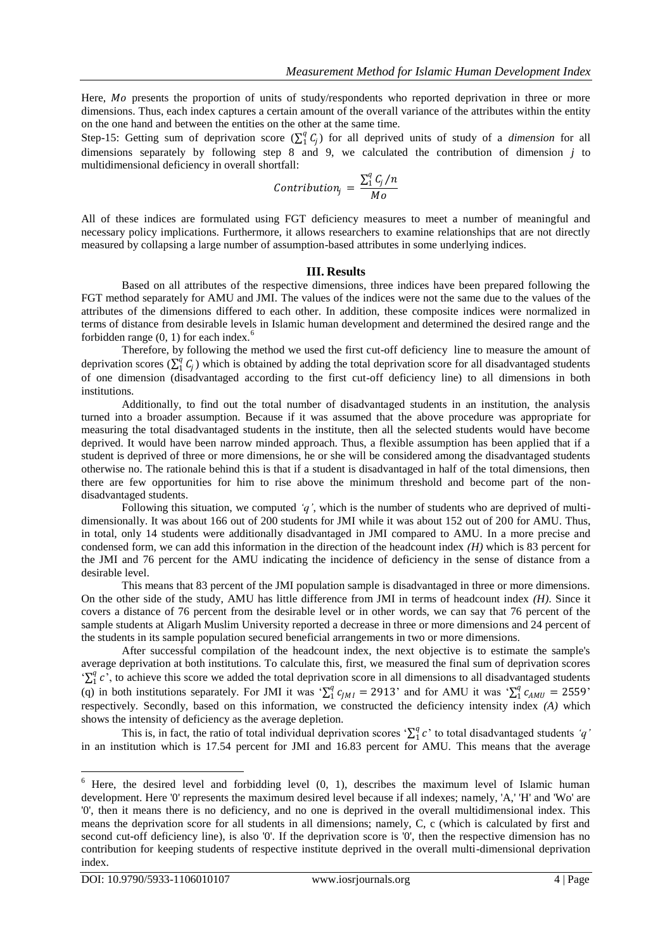Here, Mo presents the proportion of units of study/respondents who reported deprivation in three or more dimensions. Thus, each index captures a certain amount of the overall variance of the attributes within the entity on the one hand and between the entities on the other at the same time.

Step-15: Getting sum of deprivation score  $(\sum_1^q C_j)$  for all deprived units of study of a *dimension* for all dimensions separately by following step 8 and 9, we calculated the contribution of dimension *j* to multidimensional deficiency in overall shortfall:

$$
Contribution_j = \frac{\sum_1^q C_j/n}{Mo}
$$

All of these indices are formulated using FGT deficiency measures to meet a number of meaningful and necessary policy implications. Furthermore, it allows researchers to examine relationships that are not directly measured by collapsing a large number of assumption-based attributes in some underlying indices.

#### **III. Results**

Based on all attributes of the respective dimensions, three indices have been prepared following the FGT method separately for AMU and JMI. The values of the indices were not the same due to the values of the attributes of the dimensions differed to each other. In addition, these composite indices were normalized in terms of distance from desirable levels in Islamic human development and determined the desired range and the forbidden range  $(0, 1)$  for each index.<sup>6</sup>

Therefore, by following the method we used the first cut-off deficiency line to measure the amount of deprivation scores  $(\sum_1^q C_j)$  which is obtained by adding the total deprivation score for all disadvantaged students of one dimension (disadvantaged according to the first cut-off deficiency line) to all dimensions in both institutions.

Additionally, to find out the total number of disadvantaged students in an institution, the analysis turned into a broader assumption. Because if it was assumed that the above procedure was appropriate for measuring the total disadvantaged students in the institute, then all the selected students would have become deprived. It would have been narrow minded approach. Thus, a flexible assumption has been applied that if a student is deprived of three or more dimensions, he or she will be considered among the disadvantaged students otherwise no. The rationale behind this is that if a student is disadvantaged in half of the total dimensions, then there are few opportunities for him to rise above the minimum threshold and become part of the nondisadvantaged students.

Following this situation, we computed *"q"*, which is the number of students who are deprived of multidimensionally. It was about 166 out of 200 students for JMI while it was about 152 out of 200 for AMU. Thus, in total, only 14 students were additionally disadvantaged in JMI compared to AMU. In a more precise and condensed form, we can add this information in the direction of the headcount index *(H)* which is 83 percent for the JMI and 76 percent for the AMU indicating the incidence of deficiency in the sense of distance from a desirable level.

This means that 83 percent of the JMI population sample is disadvantaged in three or more dimensions. On the other side of the study, AMU has little difference from JMI in terms of headcount index *(H)*. Since it covers a distance of 76 percent from the desirable level or in other words, we can say that 76 percent of the sample students at Aligarh Muslim University reported a decrease in three or more dimensions and 24 percent of the students in its sample population secured beneficial arrangements in two or more dimensions.

After successful compilation of the headcount index, the next objective is to estimate the sample's average deprivation at both institutions. To calculate this, first, we measured the final sum of deprivation scores " $\sum_1^q c$ ", to achieve this score we added the total deprivation score in all dimensions to all disadvantaged students (q) in both institutions separately. For JMI it was ' $\sum_1^q c_{jM1} = 2913$ ' and for AMU it was ' $\sum_1^q c_{AMU} = 2559$ ' respectively. Secondly, based on this information, we constructed the deficiency intensity index *(A)* which shows the intensity of deficiency as the average depletion.

This is, in fact, the ratio of total individual deprivation scores  $\sum_{i=1}^{q} c$  to total disadvantaged students 'q' in an institution which is 17.54 percent for JMI and 16.83 percent for AMU. This means that the average

 $6$  Here, the desired level and forbidding level  $(0, 1)$ , describes the maximum level of Islamic human development. Here '0' represents the maximum desired level because if all indexes; namely, 'A,' 'H' and 'Wo' are '0', then it means there is no deficiency, and no one is deprived in the overall multidimensional index. This means the deprivation score for all students in all dimensions; namely, C, c (which is calculated by first and second cut-off deficiency line), is also '0'. If the deprivation score is '0', then the respective dimension has no contribution for keeping students of respective institute deprived in the overall multi-dimensional deprivation index.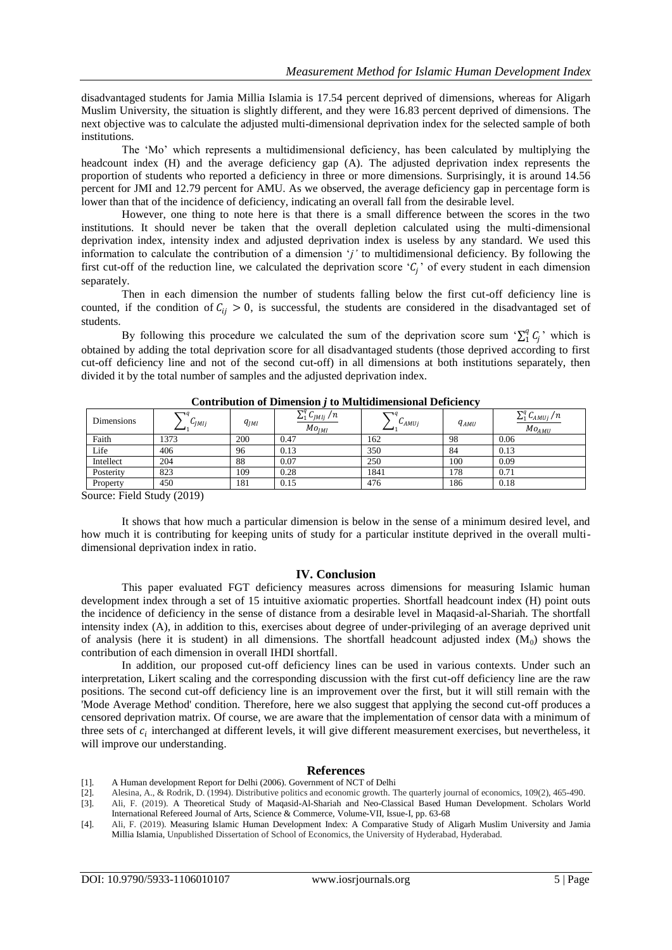disadvantaged students for Jamia Millia Islamia is 17.54 percent deprived of dimensions, whereas for Aligarh Muslim University, the situation is slightly different, and they were 16.83 percent deprived of dimensions. The next objective was to calculate the adjusted multi-dimensional deprivation index for the selected sample of both institutions.

The "Mo" which represents a multidimensional deficiency, has been calculated by multiplying the headcount index (H) and the average deficiency gap (A). The adjusted deprivation index represents the proportion of students who reported a deficiency in three or more dimensions. Surprisingly, it is around 14.56 percent for JMI and 12.79 percent for AMU. As we observed, the average deficiency gap in percentage form is lower than that of the incidence of deficiency, indicating an overall fall from the desirable level.

However, one thing to note here is that there is a small difference between the scores in the two institutions. It should never be taken that the overall depletion calculated using the multi-dimensional deprivation index, intensity index and adjusted deprivation index is useless by any standard. We used this information to calculate the contribution of a dimension '*j'* to multidimensional deficiency. By following the first cut-off of the reduction line, we calculated the deprivation score ' $C_j$ ' of every student in each dimension separately.

Then in each dimension the number of students falling below the first cut-off deficiency line is counted, if the condition of  $C_{ij} > 0$ , is successful, the students are considered in the disadvantaged set of students.

By following this procedure we calculated the sum of the deprivation score sum ' $\sum_{i=1}^{q} C_i$ ' which is obtained by adding the total deprivation score for all disadvantaged students (those deprived according to first cut-off deficiency line and not of the second cut-off) in all dimensions at both institutions separately, then divided it by the total number of samples and the adjusted deprivation index.

| Dimensions | $\neg q$<br>$U_{jM1j}$ | $q_{IMI}$ | $\nabla^q$ $\sim$<br>$\frac{1}{\sqrt{M}}$ $\frac{1}{M}$ /n<br>Mo <sub>IMI</sub> | $\neg q$<br>$L_{AMU}$ | $q_{AMU}$ | $\nabla^q$ $\Gamma$<br>$\sum_{1}^{q} C_{AMUj}/n$<br>$Mo_{AMU}$ |
|------------|------------------------|-----------|---------------------------------------------------------------------------------|-----------------------|-----------|----------------------------------------------------------------|
| Faith      | 1373                   | 200       | 0.47                                                                            | 162                   | 98        | 0.06                                                           |
| Life       | 406                    | 96        | 0.13                                                                            | 350                   | 84        | 0.13                                                           |
| Intellect  | 204                    | 88        | 0.07                                                                            | 250                   | 100       | 0.09                                                           |
| Posterity  | 823                    | 109       | 0.28                                                                            | 1841                  | 178       | 0.71                                                           |
| Property   | 450                    | 181       | 0.15                                                                            | 476                   | 186       | 0.18                                                           |

**Contribution of Dimension** *j* **to Multidimensional Deficiency**

Source: Field Study (2019)

It shows that how much a particular dimension is below in the sense of a minimum desired level, and how much it is contributing for keeping units of study for a particular institute deprived in the overall multidimensional deprivation index in ratio.

## **IV. Conclusion**

This paper evaluated FGT deficiency measures across dimensions for measuring Islamic human development index through a set of 15 intuitive axiomatic properties. Shortfall headcount index (H) point outs the incidence of deficiency in the sense of distance from a desirable level in Maqasid-al-Shariah. The shortfall intensity index (A), in addition to this, exercises about degree of under-privileging of an average deprived unit of analysis (here it is student) in all dimensions. The shortfall headcount adjusted index  $(M_0)$  shows the contribution of each dimension in overall IHDI shortfall.

In addition, our proposed cut-off deficiency lines can be used in various contexts. Under such an interpretation, Likert scaling and the corresponding discussion with the first cut-off deficiency line are the raw positions. The second cut-off deficiency line is an improvement over the first, but it will still remain with the 'Mode Average Method' condition. Therefore, here we also suggest that applying the second cut-off produces a censored deprivation matrix. Of course, we are aware that the implementation of censor data with a minimum of three sets of  $c_i$  interchanged at different levels, it will give different measurement exercises, but nevertheless, it will improve our understanding.

#### **References**

- [1]. A Human development Report for Delhi (2006). Government of NCT of Delhi
- [2]. Alesina, A., & Rodrik, D. (1994). Distributive politics and economic growth. The quarterly journal of economics, 109(2), 465-490.
- [3]. Ali, F. (2019). A Theoretical Study of Maqasid-Al-Shariah and Neo-Classical Based Human Development. Scholars World International Refereed Journal of Arts, Science & Commerce, Volume-VII, Issue-I, pp. 63-68
- [4]. Ali, F. (2019). Measuring Islamic Human Development Index: A Comparative Study of Aligarh Muslim University and Jamia Millia Islamia, Unpublished Dissertation of School of Economics, the University of Hyderabad, Hyderabad.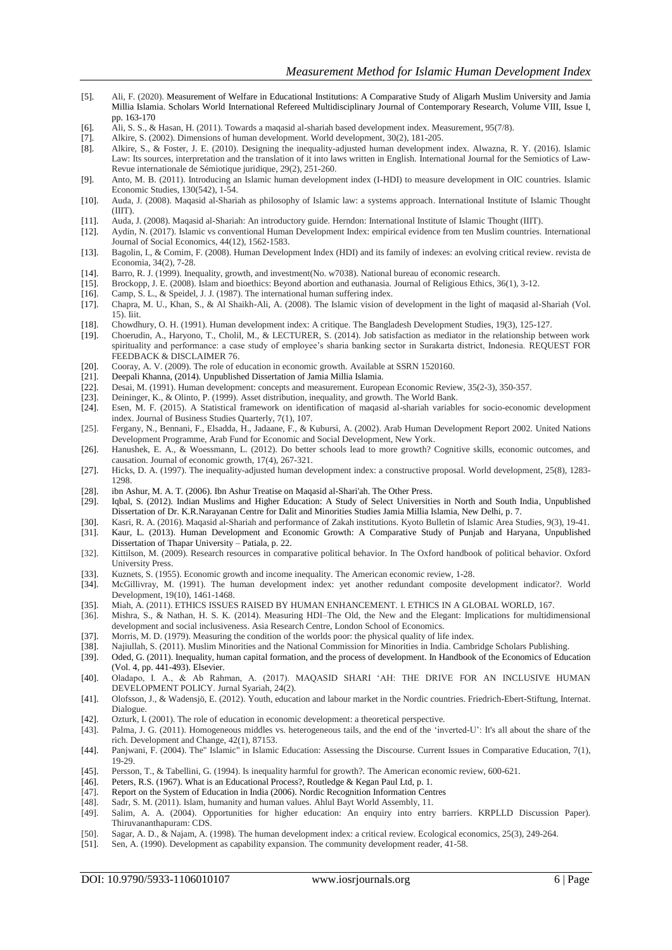- [5]. Ali, F. (2020). Measurement of Welfare in Educational Institutions: A Comparative Study of Aligarh Muslim University and Jamia Millia Islamia. Scholars World International Refereed Multidisciplinary Journal of Contemporary Research, Volume VIII, Issue I, pp. 163-170
- [6]. Ali, S. S., & Hasan, H. (2011). Towards a maqasid al-shariah based development index. Measurement, 95(7/8).
- [7]. Alkire, S. (2002). Dimensions of human development. World development, 30(2), 181-205.
- [8]. Alkire, S., & Foster, J. E. (2010). Designing the inequality-adjusted human development index. Alwazna, R. Y. (2016). Islamic Law: Its sources, interpretation and the translation of it into laws written in English. International Journal for the Semiotics of Law-Revue internationale de Sémiotique juridique, 29(2), 251-260.
- [9]. Anto, M. B. (2011). Introducing an Islamic human development index (I-HDI) to measure development in OIC countries. Islamic Economic Studies, 130(542), 1-54.
- [10]. Auda, J. (2008). Maqasid al-Shariah as philosophy of Islamic law: a systems approach. International Institute of Islamic Thought (IIIT).
- [11]. Auda, J. (2008). Maqasid al-Shariah: An introductory guide. Herndon: International Institute of Islamic Thought (IIIT).
- [12]. Aydin, N. (2017). Islamic vs conventional Human Development Index: empirical evidence from ten Muslim countries. International Journal of Social Economics, 44(12), 1562-1583.
- [13]. Bagolin, I., & Comim, F. (2008). Human Development Index (HDI) and its family of indexes: an evolving critical review. revista de Economia, 34(2), 7-28.
- [14]. Barro, R. J. (1999). Inequality, growth, and investment(No. w7038). National bureau of economic research.
- [15]. Brockopp, J. E. (2008). Islam and bioethics: Beyond abortion and euthanasia. Journal of Religious Ethics, 36(1), 3-12.
- [16]. Camp, S. L., & Speidel, J. J. (1987). The international human suffering index.<br>[17]. Chapra, M. U., Khan, S., & Al Shaikh-Ali, A. (2008). The Islamic vision of
- [17]. Chapra, M. U., Khan, S., & Al Shaikh-Ali, A. (2008). The Islamic vision of development in the light of maqasid al-Shariah (Vol. 15). Iiit.
- [18]. Chowdhury, O. H. (1991). Human development index: A critique. The Bangladesh Development Studies, 19(3), 125-127.
- [19]. Choerudin, A., Haryono, T., Cholil, M., & LECTURER, S. (2014). Job satisfaction as mediator in the relationship between work spirituality and performance: a case study of employee's sharia banking sector in Surakarta district, Indonesia. REQUEST FOR FEEDBACK & DISCLAIMER 76.
- [20]. Cooray, A. V. (2009). The role of education in economic growth. Available at SSRN 1520160.<br>[21]. Deepali Khanna, (2014). Unpublished Dissertation of Jamia Millia Islamia.
- Deepali Khanna, (2014). Unpublished Dissertation of Jamia Millia Islamia.
- [22]. Desai, M. (1991). Human development: concepts and measurement. European Economic Review, 35(2-3), 350-357.
- [23]. Deininger, K., & Olinto, P. (1999). Asset distribution, inequality, and growth. The World Bank.
- [24]. Esen, M. F. (2015). A Statistical framework on identification of maqasid al-shariah variables for socio-economic development index. Journal of Business Studies Quarterly, 7(1), 107.
- [25]. Fergany, N., Bennani, F., Elsadda, H., Jadaane, F., & Kubursi, A. (2002). Arab Human Development Report 2002. United Nations Development Programme, Arab Fund for Economic and Social Development, New York.
- [26]. Hanushek, E. A., & Woessmann, L. (2012). Do better schools lead to more growth? Cognitive skills, economic outcomes, and causation. Journal of economic growth, 17(4), 267-321.
- [27]. Hicks, D. A. (1997). The inequality-adjusted human development index: a constructive proposal. World development, 25(8), 1283- 1298.
- [28]. ibn Ashur, M. A. T. (2006). Ibn Ashur Treatise on Maqasid al-Shari'ah. The Other Press.<br>[29]. Iqbal, S. (2012). Indian Muslims and Higher Education: A Study of Select Universiti
- Iqbal, S. (2012). Indian Muslims and Higher Education: A Study of Select Universities in North and South India, Unpublished Dissertation of Dr. K.R.Narayanan Centre for Dalit and Minorities Studies Jamia Millia Islamia, New Delhi, p. 7.
- [30]. Kasri, R. A. (2016). Maqasid al-Shariah and performance of Zakah institutions. Kyoto Bulletin of Islamic Area Studies, 9(3), 19-41. [31]. Kaur, L. (2013). Human Development and Economic Growth: A Comparative Study of Punjab and Haryana, Unpublished
- Dissertation of Thapar University Patiala, p. 22.
- [32]. Kittilson, M. (2009). Research resources in comparative political behavior. In The Oxford handbook of political behavior. Oxford University Press.
- [33]. Kuznets, S. (1955). Economic growth and income inequality. The American economic review, 1-28.
- [34]. McGillivray, M. (1991). The human development index: yet another redundant composite development indicator?. World Development, 19(10), 1461-1468.
- 
- [35]. Miah, A. (2011). ETHICS ISSUES RAISED BY HUMAN ENHANCEMENT. I. ETHICS IN A GLOBAL WORLD, 167. [36]. Mishra, S., & Nathan, H. S. K. (2014). Measuring HDI-The Old, the New and the Elegant: Implications for multiding [36]. Mishra, S., & Nathan, H. S. K. (2014). Measuring HDI–The Old, the New and the Elegant: Implications for multidimensional development and social inclusiveness. Asia Research Centre, London School of Economics.
- [37]. Morris, M. D. (1979). Measuring the condition of the worlds poor: the physical quality of life index.
- [38]. Najiullah, S. (2011). Muslim Minorities and the National Commission for Minorities in India. Cambridge Scholars Publishing.
- [39]. Oded, G. (2011). Inequality, human capital formation, and the process of development. In Handbook of the Economics of Education (Vol. 4, pp. 441-493). Elsevier.
- [40]. Oladapo, I. A., & Ab Rahman, A. (2017). MAQASID SHARI "AH: THE DRIVE FOR AN INCLUSIVE HUMAN DEVELOPMENT POLICY. Jurnal Syariah, 24(2).
- [41]. Olofsson, J., & Wadensjö, E. (2012). Youth, education and labour market in the Nordic countries. Friedrich-Ebert-Stiftung, Internat. Dialogue.
- [42]. Ozturk, I. (2001). The role of education in economic development: a theoretical perspective.
- [43]. Palma, J. G. (2011). Homogeneous middles vs. heterogeneous tails, and the end of the "inverted-U": It's all about the share of the rich. Development and Change, 42(1), 87153.
- [44]. Panjwani, F. (2004). The" Islamic" in Islamic Education: Assessing the Discourse. Current Issues in Comparative Education, 7(1), 19-29.
- [45]. Persson, T., & Tabellini, G. (1994). Is inequality harmful for growth?. The American economic review, 600-621.
- [46]. Peters, R.S. (1967). What is an Educational Process?, Routledge & Kegan Paul Ltd, p. 1.
- [47]. Report on the System of Education in India (2006). Nordic Recognition Information Centres
- [48]. Sadr, S. M. (2011). Islam, humanity and human values. Ahlul Bayt World Assembly, 11.
- [49]. Salim, A. A. (2004). Opportunities for higher education: An enquiry into entry barriers. KRPLLD Discussion Paper). Thiruvananthapuram: CDS.
- [50]. Sagar, A. D., & Najam, A. (1998). The human development index: a critical review. Ecological economics, 25(3), 249-264.
- [51]. Sen, A. (1990). Development as capability expansion. The community development reader, 41-58.